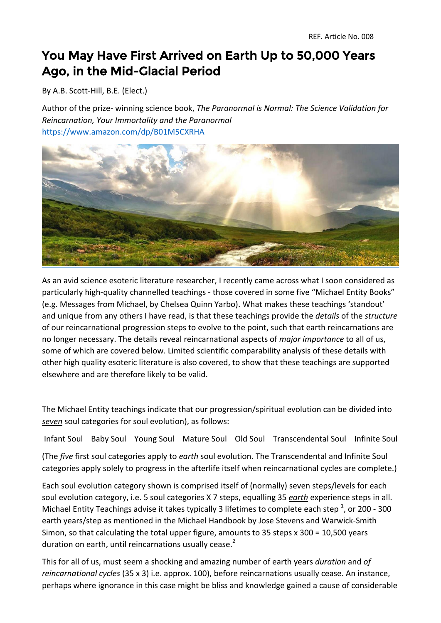## You May Have First Arrived on Earth Up to 50,000 Years Ago, in the Mid-Glacial Period

By A.B. Scott-Hill, B.E. (Elect.)

Author of the prize- winning science book, *The Paranormal is Normal: The Science Validation for Reincarnation, Your Immortality and the Paranormal*  <https://www.amazon.com/dp/B01M5CXRHA>



As an avid science esoteric literature researcher, I recently came across what I soon considered as particularly high-quality channelled teachings - those covered in some five "Michael Entity Books" (e.g. Messages from Michael, by Chelsea Quinn Yarbo). What makes these teachings 'standout' and unique from any others I have read, is that these teachings provide the *details* of the *structure* of our reincarnational progression steps to evolve to the point, such that earth reincarnations are no longer necessary. The details reveal reincarnational aspects of *major importance* to all of us, some of which are covered below. Limited scientific comparability analysis of these details with other high quality esoteric literature is also covered, to show that these teachings are supported elsewhere and are therefore likely to be valid.

The Michael Entity teachings indicate that our progression/spiritual evolution can be divided into *seven* soul categories for soul evolution), as follows:

Infant Soul Baby Soul Young Soul Mature Soul Old Soul Transcendental Soul Infinite Soul

(The *five* first soul categories apply to *earth* soul evolution. The Transcendental and Infinite Soul categories apply solely to progress in the afterlife itself when reincarnational cycles are complete.)

Each soul evolution category shown is comprised itself of (normally) seven steps/levels for each soul evolution category, i.e. 5 soul categories X 7 steps, equalling 35 *earth* experience steps in all. Michael Entity Teachings advise it takes typically 3 lifetimes to complete each step  $^{1}$ , or 200 - 300 earth years/step as mentioned in the Michael Handbook by Jose Stevens and Warwick-Smith Simon, so that calculating the total upper figure, amounts to 35 steps x 300 = 10,500 years duration on earth, until reincarnations usually cease.<sup>2</sup>

This for all of us, must seem a shocking and amazing number of earth years *duration* and *of reincarnational cycles* (35 x 3) i.e. approx. 100), before reincarnations usually cease. An instance, perhaps where ignorance in this case might be bliss and knowledge gained a cause of considerable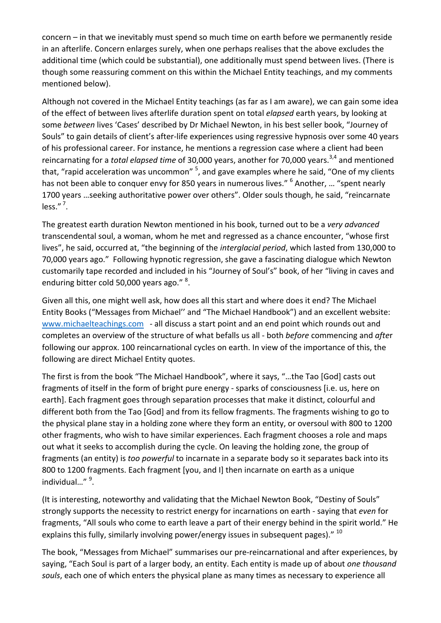concern – in that we inevitably must spend so much time on earth before we permanently reside in an afterlife. Concern enlarges surely, when one perhaps realises that the above excludes the additional time (which could be substantial), one additionally must spend between lives. (There is though some reassuring comment on this within the Michael Entity teachings, and my comments mentioned below).

Although not covered in the Michael Entity teachings (as far as I am aware), we can gain some idea of the effect of between lives afterlife duration spent on total *elapsed* earth years, by looking at some *between* lives 'Cases' described by Dr Michael Newton, in his best seller book, "Journey of Souls" to gain details of client's after-life experiences using regressive hypnosis over some 40 years of his professional career. For instance, he mentions a regression case where a client had been reincarnating for a *total elapsed time* of 30,000 years, another for 70,000 years.<sup>3,4</sup> and mentioned that, "rapid acceleration was uncommon" <sup>5</sup>, and gave examples where he said, "One of my clients has not been able to conquer envy for 850 years in numerous lives." <sup>6</sup> Another, ... "spent nearly 1700 years …seeking authoritative power over others". Older souls though, he said, "reincarnate less." $^7$ .

The greatest earth duration Newton mentioned in his book, turned out to be a *very advanced*  transcendental soul, a woman, whom he met and regressed as a chance encounter, "whose first lives", he said, occurred at, "the beginning of the *interglacial period*, which lasted from 130,000 to 70,000 years ago." Following hypnotic regression, she gave a fascinating dialogue which Newton customarily tape recorded and included in his "Journey of Soul's" book, of her "living in caves and enduring bitter cold 50,000 years ago." <sup>8</sup>.

Given all this, one might well ask, how does all this start and where does it end? The Michael Entity Books ("Messages from Michael'' and "The Michael Handbook") and an excellent website: [www.michaelteachings.com](http://www.michaelteachings.com/) - all discuss a start point and an end point which rounds out and completes an overview of the structure of what befalls us all - both *before* commencing and *afte*r following our approx. 100 reincarnational cycles on earth. In view of the importance of this, the following are direct Michael Entity quotes.

The first is from the book "The Michael Handbook", where it says, "…the Tao [God] casts out fragments of itself in the form of bright pure energy - sparks of consciousness [i.e. us, here on earth]. Each fragment goes through separation processes that make it distinct, colourful and different both from the Tao [God] and from its fellow fragments. The fragments wishing to go to the physical plane stay in a holding zone where they form an entity, or oversoul with 800 to 1200 other fragments, who wish to have similar experiences. Each fragment chooses a role and maps out what it seeks to accomplish during the cycle. On leaving the holding zone, the group of fragments (an entity) is *too powerful* to incarnate in a separate body so it separates back into its 800 to 1200 fragments. Each fragment [you, and I] then incarnate on earth as a unique individual..." <sup>9</sup>.

(It is interesting, noteworthy and validating that the Michael Newton Book, "Destiny of Souls" strongly supports the necessity to restrict energy for incarnations on earth - saying that *even* for fragments, "All souls who come to earth leave a part of their energy behind in the spirit world." He explains this fully, similarly involving power/energy issues in subsequent pages). $^{\prime\prime}$  10

The book, "Messages from Michael" summarises our pre-reincarnational and after experiences, by saying, "Each Soul is part of a larger body, an entity. Each entity is made up of about *one thousand souls*, each one of which enters the physical plane as many times as necessary to experience all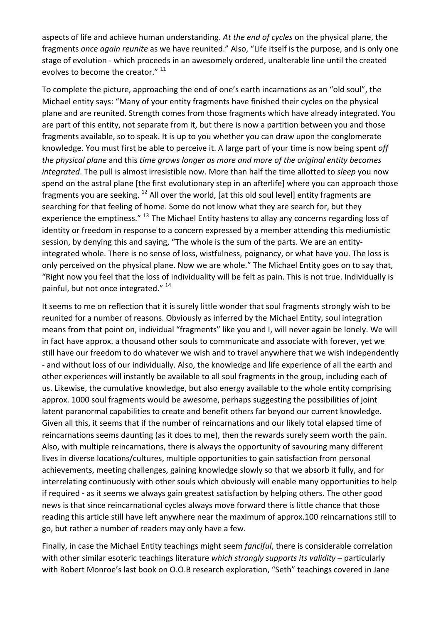aspects of life and achieve human understanding. *At the end of cycles* on the physical plane, the fragments *once again reunite* as we have reunited." Also, "Life itself is the purpose, and is only one stage of evolution - which proceeds in an awesomely ordered, unalterable line until the created evolves to become the creator." <sup>11</sup>

To complete the picture, approaching the end of one's earth incarnations as an "old soul", the Michael entity says: "Many of your entity fragments have finished their cycles on the physical plane and are reunited. Strength comes from those fragments which have already integrated. You are part of this entity, not separate from it, but there is now a partition between you and those fragments available, so to speak. It is up to you whether you can draw upon the conglomerate knowledge. You must first be able to perceive it. A large part of your time is now being spent *off the physical plane* and this *time grows longer as more and more of the original entity becomes integrated*. The pull is almost irresistible now. More than half the time allotted to *sleep* you now spend on the astral plane [the first evolutionary step in an afterlife] where you can approach those fragments you are seeking. <sup>12</sup> All over the world, [at this old soul level] entity fragments are searching for that feeling of home. Some do not know what they are search for, but they experience the emptiness."  $^{13}$  The Michael Entity hastens to allay any concerns regarding loss of identity or freedom in response to a concern expressed by a member attending this mediumistic session, by denying this and saying, "The whole is the sum of the parts. We are an entityintegrated whole. There is no sense of loss, wistfulness, poignancy, or what have you. The loss is only perceived on the physical plane. Now we are whole." The Michael Entity goes on to say that, "Right now you feel that the loss of individuality will be felt as pain. This is not true. Individually is painful, but not once integrated." <sup>14</sup>

It seems to me on reflection that it is surely little wonder that soul fragments strongly wish to be reunited for a number of reasons. Obviously as inferred by the Michael Entity, soul integration means from that point on, individual "fragments" like you and I, will never again be lonely. We will in fact have approx. a thousand other souls to communicate and associate with forever, yet we still have our freedom to do whatever we wish and to travel anywhere that we wish independently - and without loss of our individually. Also, the knowledge and life experience of all the earth and other experiences will instantly be available to all soul fragments in the group, including each of us. Likewise, the cumulative knowledge, but also energy available to the whole entity comprising approx. 1000 soul fragments would be awesome, perhaps suggesting the possibilities of joint latent paranormal capabilities to create and benefit others far beyond our current knowledge. Given all this, it seems that if the number of reincarnations and our likely total elapsed time of reincarnations seems daunting (as it does to me), then the rewards surely seem worth the pain. Also, with multiple reincarnations, there is always the opportunity of savouring many different lives in diverse locations/cultures, multiple opportunities to gain satisfaction from personal achievements, meeting challenges, gaining knowledge slowly so that we absorb it fully, and for interrelating continuously with other souls which obviously will enable many opportunities to help if required - as it seems we always gain greatest satisfaction by helping others. The other good news is that since reincarnational cycles always move forward there is little chance that those reading this article still have left anywhere near the maximum of approx.100 reincarnations still to go, but rather a number of readers may only have a few.

Finally, in case the Michael Entity teachings might seem *fanciful*, there is considerable correlation with other similar esoteric teachings literature *which strongly supports its validity* – particularly with Robert Monroe's last book on O.O.B research exploration, "Seth" teachings covered in Jane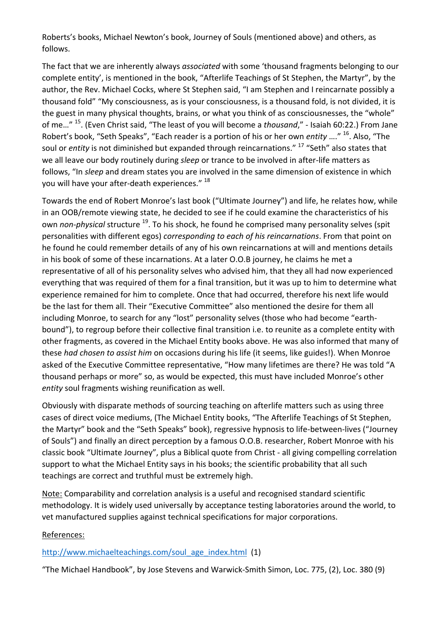Roberts's books, Michael Newton's book, Journey of Souls (mentioned above) and others, as follows.

The fact that we are inherently always *associated* with some 'thousand fragments belonging to our complete entity', is mentioned in the book, "Afterlife Teachings of St Stephen, the Martyr", by the author, the Rev. Michael Cocks, where St Stephen said, "I am Stephen and I reincarnate possibly a thousand fold" "My consciousness, as is your consciousness, is a thousand fold, is not divided, it is the guest in many physical thoughts, brains, or what you think of as consciousnesses, the "whole" of me…" <sup>15</sup> . (Even Christ said, "The least of you will become a *thousand*," - Isaiah 60:22.) From Jane Robert's book, "Seth Speaks", "Each reader is a portion of his or her own *entity* ...." <sup>16</sup>. Also, "The soul or *entity* is not diminished but expanded through reincarnations." <sup>17</sup> "Seth" also states that we all leave our body routinely during *sleep* or trance to be involved in after-life matters as follows, "In *sleep* and dream states you are involved in the same dimension of existence in which you will have your after-death experiences." <sup>18</sup>

Towards the end of Robert Monroe's last book ("Ultimate Journey") and life, he relates how, while in an OOB/remote viewing state, he decided to see if he could examine the characteristics of his own *non-physical* structure <sup>19</sup>. To his shock, he found he comprised many personality selves (spit personalities with different egos) *corresponding to each of his reincarnations*. From that point on he found he could remember details of any of his own reincarnations at will and mentions details in his book of some of these incarnations. At a later O.O.B journey, he claims he met a representative of all of his personality selves who advised him, that they all had now experienced everything that was required of them for a final transition, but it was up to him to determine what experience remained for him to complete. Once that had occurred, therefore his next life would be the last for them all. Their "Executive Committee" also mentioned the desire for them all including Monroe, to search for any "lost" personality selves (those who had become "earthbound"), to regroup before their collective final transition i.e. to reunite as a complete entity with other fragments, as covered in the Michael Entity books above. He was also informed that many of these *had chosen to assist him* on occasions during his life (it seems, like guides!). When Monroe asked of the Executive Committee representative, "How many lifetimes are there? He was told "A thousand perhaps or more" so, as would be expected, this must have included Monroe's other *entity* soul fragments wishing reunification as well.

Obviously with disparate methods of sourcing teaching on afterlife matters such as using three cases of direct voice mediums, (The Michael Entity books, "The Afterlife Teachings of St Stephen, the Martyr" book and the "Seth Speaks" book), regressive hypnosis to life-between-lives ("Journey of Souls") and finally an direct perception by a famous O.O.B. researcher, Robert Monroe with his classic book "Ultimate Journey", plus a Biblical quote from Christ - all giving compelling correlation support to what the Michael Entity says in his books; the scientific probability that all such teachings are correct and truthful must be extremely high.

Note: Comparability and correlation analysis is a useful and recognised standard scientific methodology. It is widely used universally by acceptance testing laboratories around the world, to vet manufactured supplies against technical specifications for major corporations.

## References:

## [http://www.michaelteachings.com/soul\\_age\\_index.html](http://www.michaelteachings.com/soul_age_index.html) (1)

"The Michael Handbook", by Jose Stevens and Warwick-Smith Simon, Loc. 775, (2), Loc. 380 (9)